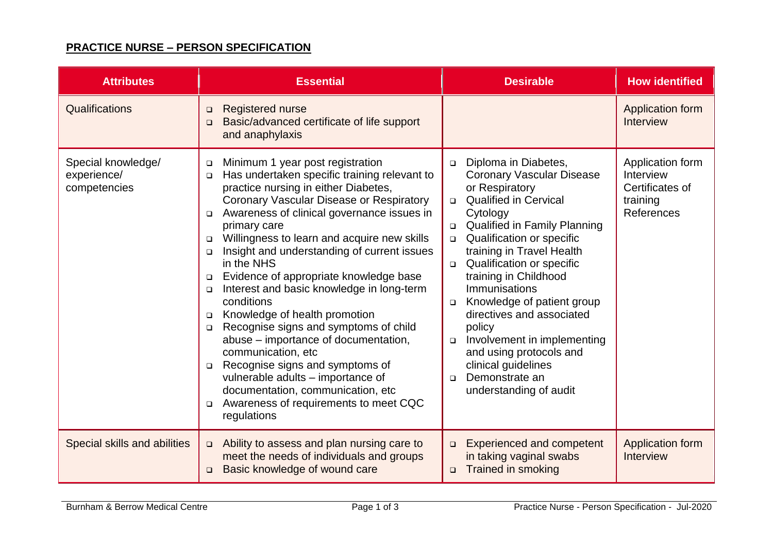## **PRACTICE NURSE – PERSON SPECIFICATION**

| <b>Attributes</b>                                 | <b>Essential</b>                                                                                                                                                                                                                                                                                                                                                                                                                                                                                                                                                                                                                                                                                                                                                                                                                                                      | <b>Desirable</b>                                                                                                                                                                                                                                                                                                                                                                                                                                                                                                                                                              | <b>How identified</b>                                                      |
|---------------------------------------------------|-----------------------------------------------------------------------------------------------------------------------------------------------------------------------------------------------------------------------------------------------------------------------------------------------------------------------------------------------------------------------------------------------------------------------------------------------------------------------------------------------------------------------------------------------------------------------------------------------------------------------------------------------------------------------------------------------------------------------------------------------------------------------------------------------------------------------------------------------------------------------|-------------------------------------------------------------------------------------------------------------------------------------------------------------------------------------------------------------------------------------------------------------------------------------------------------------------------------------------------------------------------------------------------------------------------------------------------------------------------------------------------------------------------------------------------------------------------------|----------------------------------------------------------------------------|
| Qualifications                                    | <b>Registered nurse</b><br>$\Box$<br>Basic/advanced certificate of life support<br>$\Box$<br>and anaphylaxis                                                                                                                                                                                                                                                                                                                                                                                                                                                                                                                                                                                                                                                                                                                                                          |                                                                                                                                                                                                                                                                                                                                                                                                                                                                                                                                                                               | Application form<br>Interview                                              |
| Special knowledge/<br>experience/<br>competencies | Minimum 1 year post registration<br>□<br>Has undertaken specific training relevant to<br>$\Box$<br>practice nursing in either Diabetes,<br>Coronary Vascular Disease or Respiratory<br>Awareness of clinical governance issues in<br>$\Box$<br>primary care<br>Willingness to learn and acquire new skills<br>$\Box$<br>Insight and understanding of current issues<br>$\Box$<br>in the NHS<br>Evidence of appropriate knowledge base<br>$\Box$<br>Interest and basic knowledge in long-term<br>□<br>conditions<br>Knowledge of health promotion<br>$\Box$<br>Recognise signs and symptoms of child<br>$\Box$<br>abuse – importance of documentation,<br>communication, etc.<br>Recognise signs and symptoms of<br>$\Box$<br>vulnerable adults - importance of<br>documentation, communication, etc<br>Awareness of requirements to meet CQC<br>$\Box$<br>regulations | Diploma in Diabetes,<br>$\Box$<br><b>Coronary Vascular Disease</b><br>or Respiratory<br><b>Qualified in Cervical</b><br>$\Box$<br>Cytology<br><b>Qualified in Family Planning</b><br>Qualification or specific<br>$\Box$<br>training in Travel Health<br>Qualification or specific<br>$\Box$<br>training in Childhood<br><b>Immunisations</b><br>Knowledge of patient group<br>$\Box$<br>directives and associated<br>policy<br>Involvement in implementing<br>$\Box$<br>and using protocols and<br>clinical guidelines<br>Demonstrate an<br>$\Box$<br>understanding of audit | Application form<br>Interview<br>Certificates of<br>training<br>References |
| Special skills and abilities                      | Ability to assess and plan nursing care to<br>$\Box$<br>meet the needs of individuals and groups<br>Basic knowledge of wound care<br>$\Box$                                                                                                                                                                                                                                                                                                                                                                                                                                                                                                                                                                                                                                                                                                                           | <b>Experienced and competent</b><br>$\Box$<br>in taking vaginal swabs<br>Trained in smoking<br>$\Box$                                                                                                                                                                                                                                                                                                                                                                                                                                                                         | Application form<br>Interview                                              |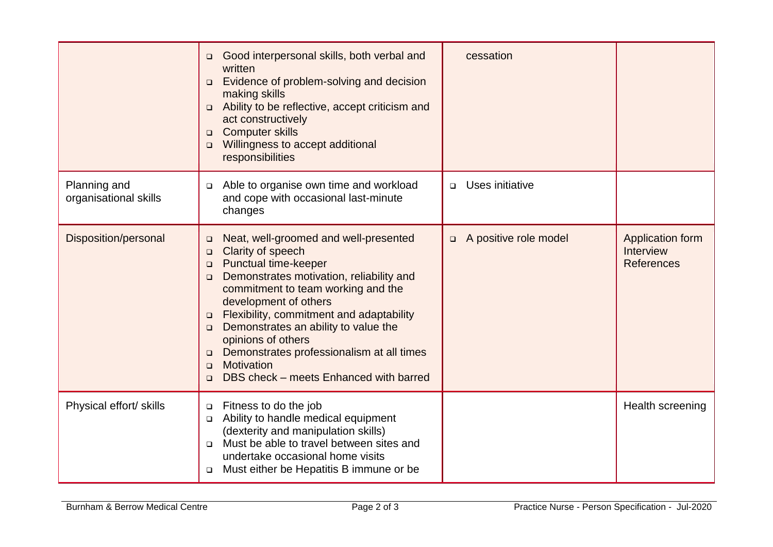|                                       | Good interpersonal skills, both verbal and<br>$\Box$<br>written<br>Evidence of problem-solving and decision<br>$\Box$<br>making skills<br>Ability to be reflective, accept criticism and<br>$\Box$<br>act constructively<br><b>Computer skills</b><br>$\Box$<br>Willingness to accept additional<br>$\Box$<br>responsibilities                                                                                                                                                                         | cessation                       |                                                    |
|---------------------------------------|--------------------------------------------------------------------------------------------------------------------------------------------------------------------------------------------------------------------------------------------------------------------------------------------------------------------------------------------------------------------------------------------------------------------------------------------------------------------------------------------------------|---------------------------------|----------------------------------------------------|
| Planning and<br>organisational skills | Able to organise own time and workload<br>$\Box$<br>and cope with occasional last-minute<br>changes                                                                                                                                                                                                                                                                                                                                                                                                    | Uses initiative<br>$\Box$       |                                                    |
| Disposition/personal                  | Neat, well-groomed and well-presented<br>$\Box$<br>Clarity of speech<br>$\Box$<br>Punctual time-keeper<br>$\Box$<br>Demonstrates motivation, reliability and<br>$\Box$<br>commitment to team working and the<br>development of others<br>Flexibility, commitment and adaptability<br>$\Box$<br>Demonstrates an ability to value the<br>$\Box$<br>opinions of others<br>Demonstrates professionalism at all times<br>$\Box$<br>Motivation<br>$\Box$<br>DBS check – meets Enhanced with barred<br>$\Box$ | A positive role model<br>$\Box$ | Application form<br>Interview<br><b>References</b> |
| Physical effort/ skills               | Fitness to do the job<br>$\Box$<br>Ability to handle medical equipment<br>$\Box$<br>(dexterity and manipulation skills)<br>Must be able to travel between sites and<br>$\Box$<br>undertake occasional home visits<br>Must either be Hepatitis B immune or be<br>$\Box$                                                                                                                                                                                                                                 |                                 | Health screening                                   |